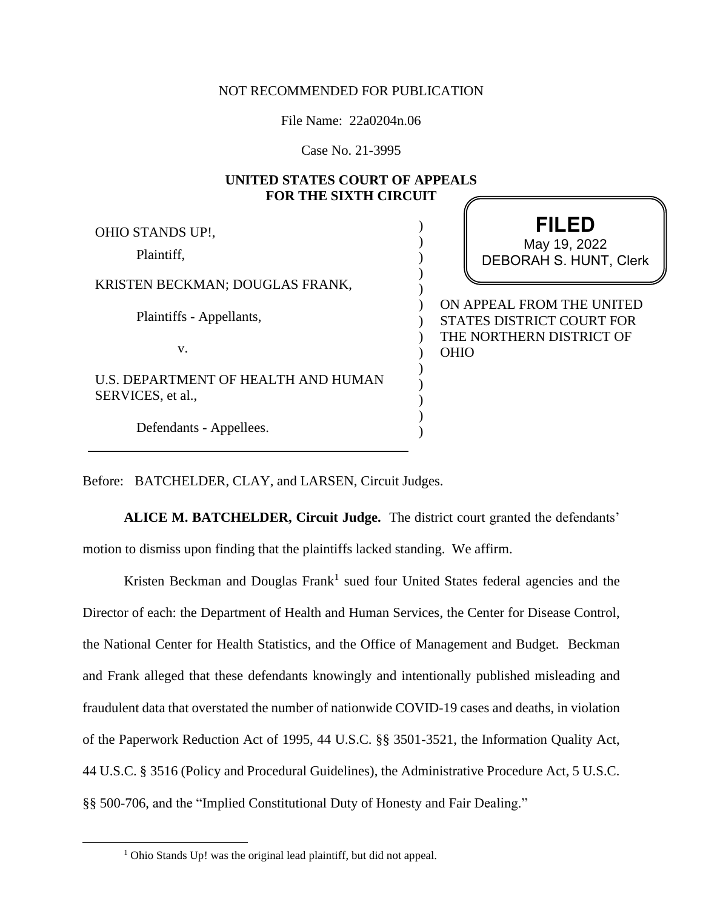## NOT RECOMMENDED FOR PUBLICATION

File Name: 22a0204n.06

Case No. 21-3995

## **UNITED STATES COURT OF APPEALS FOR THE SIXTH CIRCUIT**

| OHIO STANDS UP!,                                         | <b>FILED</b>                                                  |
|----------------------------------------------------------|---------------------------------------------------------------|
| Plaintiff,                                               | May 19, 2022<br><b>DEBORAH S. HUNT, Clerk</b>                 |
| KRISTEN BECKMAN; DOUGLAS FRANK,                          |                                                               |
| Plaintiffs - Appellants,                                 | ON APPEAL FROM THE UNITED<br><b>STATES DISTRICT COURT FOR</b> |
| V.                                                       | THE NORTHERN DISTRICT OF<br><b>OHIO</b>                       |
| U.S. DEPARTMENT OF HEALTH AND HUMAN<br>SERVICES, et al., |                                                               |
| Defendants - Appellees.                                  |                                                               |

Before: BATCHELDER, CLAY, and LARSEN, Circuit Judges.

**ALICE M. BATCHELDER, Circuit Judge.** The district court granted the defendants' motion to dismiss upon finding that the plaintiffs lacked standing. We affirm.

Kristen Beckman and Douglas  $Frank<sup>1</sup>$  sued four United States federal agencies and the Director of each: the Department of Health and Human Services, the Center for Disease Control, the National Center for Health Statistics, and the Office of Management and Budget. Beckman and Frank alleged that these defendants knowingly and intentionally published misleading and fraudulent data that overstated the number of nationwide COVID-19 cases and deaths, in violation of the Paperwork Reduction Act of 1995, 44 U.S.C. §§ 3501-3521, the Information Quality Act, 44 U.S.C. § 3516 (Policy and Procedural Guidelines), the Administrative Procedure Act, 5 U.S.C. §§ 500-706, and the "Implied Constitutional Duty of Honesty and Fair Dealing."

<sup>1</sup> Ohio Stands Up! was the original lead plaintiff, but did not appeal.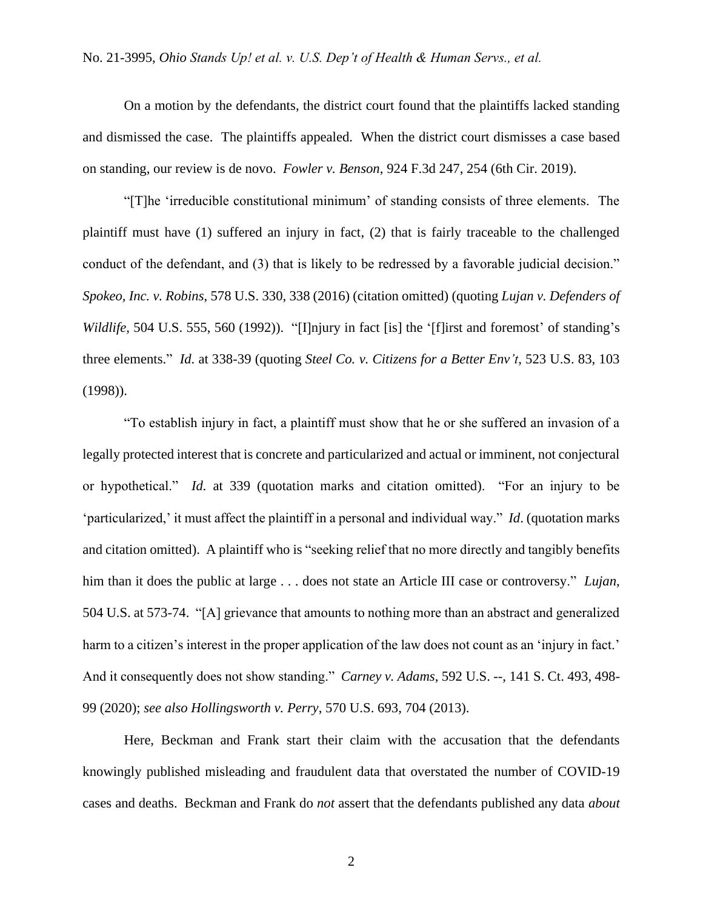On a motion by the defendants, the district court found that the plaintiffs lacked standing and dismissed the case. The plaintiffs appealed. When the district court dismisses a case based on standing, our review is de novo. *Fowler v. Benson*, 924 F.3d 247, 254 (6th Cir. 2019).

"[T]he 'irreducible constitutional minimum' of standing consists of three elements. The plaintiff must have (1) suffered an injury in fact, (2) that is fairly traceable to the challenged conduct of the defendant, and (3) that is likely to be redressed by a favorable judicial decision." *Spokeo, Inc. v. Robins*, 578 U.S. 330, 338 (2016) (citation omitted) (quoting *Lujan v. Defenders of Wildlife*, 504 U.S. 555, 560 (1992)). "[I]njury in fact [is] the '[f]irst and foremost' of standing's three elements." *Id*. at 338-39 (quoting *Steel Co. v. Citizens for a Better Env't*, 523 U.S. 83, 103 (1998)).

"To establish injury in fact, a plaintiff must show that he or she suffered an invasion of a legally protected interest that is concrete and particularized and actual or imminent, not conjectural or hypothetical." *Id.* at 339 (quotation marks and citation omitted). "For an injury to be 'particularized,' it must affect the plaintiff in a personal and individual way." *Id*. (quotation marks and citation omitted). A plaintiff who is "seeking relief that no more directly and tangibly benefits him than it does the public at large . . . does not state an Article III case or controversy." *Lujan*, 504 U.S. at 573-74. "[A] grievance that amounts to nothing more than an abstract and generalized harm to a citizen's interest in the proper application of the law does not count as an 'injury in fact.' And it consequently does not show standing." *Carney v. Adams*, 592 U.S. --, 141 S. Ct. 493, 498- 99 (2020); *see also Hollingsworth v. Perry*, 570 U.S. 693, 704 (2013).

Here, Beckman and Frank start their claim with the accusation that the defendants knowingly published misleading and fraudulent data that overstated the number of COVID-19 cases and deaths. Beckman and Frank do *not* assert that the defendants published any data *about*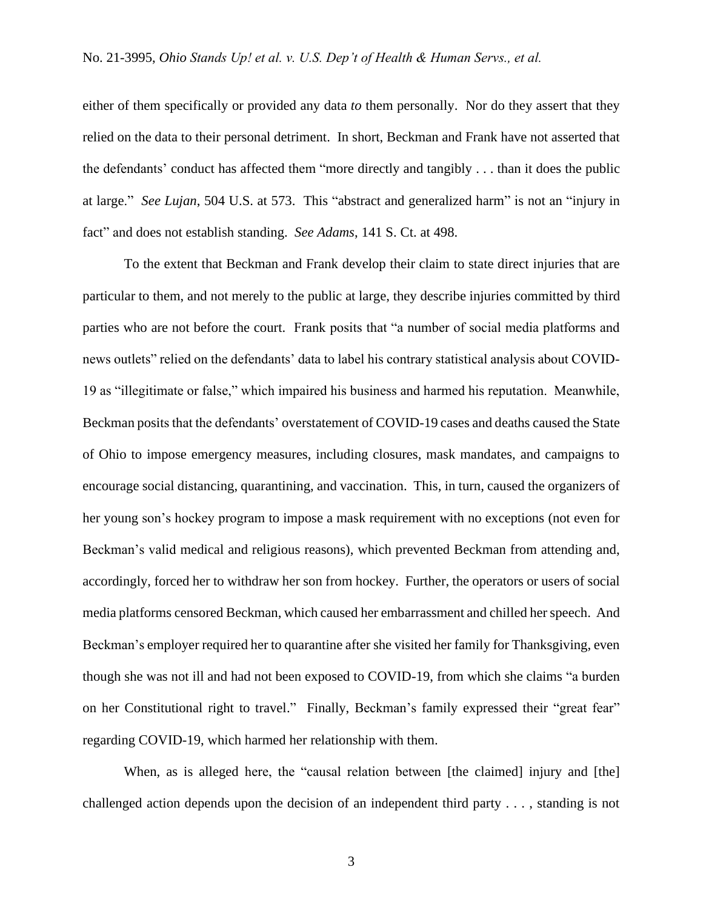either of them specifically or provided any data *to* them personally. Nor do they assert that they relied on the data to their personal detriment. In short, Beckman and Frank have not asserted that the defendants' conduct has affected them "more directly and tangibly . . . than it does the public at large." *See Lujan*, 504 U.S. at 573. This "abstract and generalized harm" is not an "injury in fact" and does not establish standing. *See Adams*, 141 S. Ct. at 498.

To the extent that Beckman and Frank develop their claim to state direct injuries that are particular to them, and not merely to the public at large, they describe injuries committed by third parties who are not before the court. Frank posits that "a number of social media platforms and news outlets" relied on the defendants' data to label his contrary statistical analysis about COVID-19 as "illegitimate or false," which impaired his business and harmed his reputation. Meanwhile, Beckman posits that the defendants' overstatement of COVID-19 cases and deaths caused the State of Ohio to impose emergency measures, including closures, mask mandates, and campaigns to encourage social distancing, quarantining, and vaccination. This, in turn, caused the organizers of her young son's hockey program to impose a mask requirement with no exceptions (not even for Beckman's valid medical and religious reasons), which prevented Beckman from attending and, accordingly, forced her to withdraw her son from hockey. Further, the operators or users of social media platforms censored Beckman, which caused her embarrassment and chilled her speech. And Beckman's employer required her to quarantine after she visited her family for Thanksgiving, even though she was not ill and had not been exposed to COVID-19, from which she claims "a burden on her Constitutional right to travel." Finally, Beckman's family expressed their "great fear" regarding COVID-19, which harmed her relationship with them.

When, as is alleged here, the "causal relation between [the claimed] injury and [the] challenged action depends upon the decision of an independent third party . . . , standing is not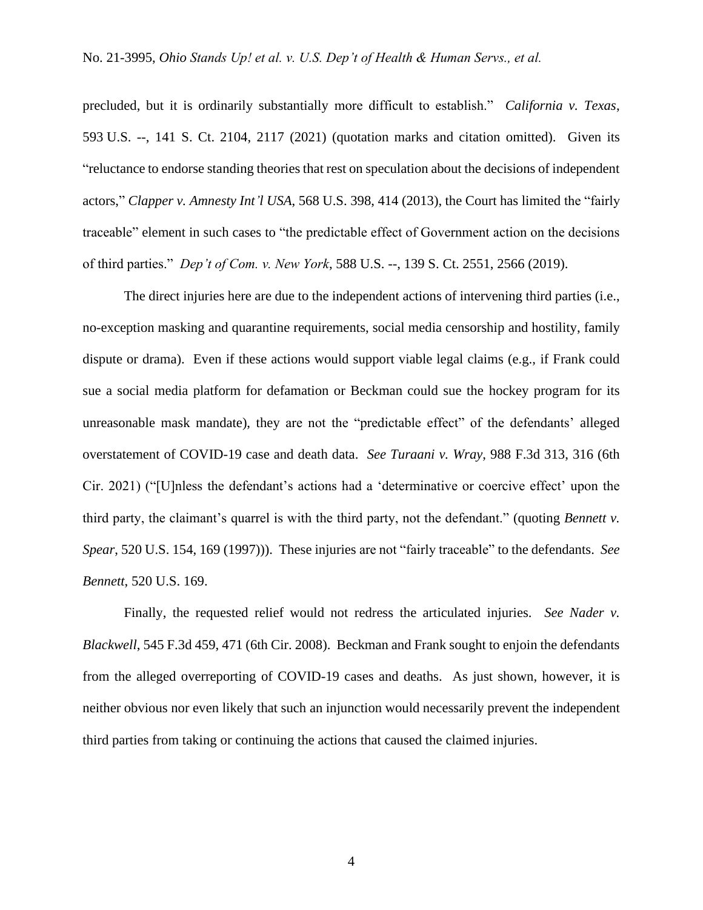precluded, but it is ordinarily substantially more difficult to establish." *California v. Texas*, 593 U.S. --, 141 S. Ct. 2104, 2117 (2021) (quotation marks and citation omitted). Given its "reluctance to endorse standing theories that rest on speculation about the decisions of independent actors," *Clapper v. Amnesty Int'l USA*, 568 U.S. 398, 414 (2013), the Court has limited the "fairly traceable" element in such cases to "the predictable effect of Government action on the decisions of third parties." *Dep't of Com. v. New York*, 588 U.S. --, 139 S. Ct. 2551, 2566 (2019).

The direct injuries here are due to the independent actions of intervening third parties (i.e., no-exception masking and quarantine requirements, social media censorship and hostility, family dispute or drama). Even if these actions would support viable legal claims (e.g., if Frank could sue a social media platform for defamation or Beckman could sue the hockey program for its unreasonable mask mandate), they are not the "predictable effect" of the defendants' alleged overstatement of COVID-19 case and death data. *See Turaani v. Wray*, 988 F.3d 313, 316 (6th Cir. 2021) ("[U]nless the defendant's actions had a 'determinative or coercive effect' upon the third party, the claimant's quarrel is with the third party, not the defendant." (quoting *Bennett v. Spear*, 520 U.S. 154, 169 (1997))). These injuries are not "fairly traceable" to the defendants. *See Bennett*, 520 U.S. 169.

Finally, the requested relief would not redress the articulated injuries. *See Nader v. Blackwell*, 545 F.3d 459, 471 (6th Cir. 2008). Beckman and Frank sought to enjoin the defendants from the alleged overreporting of COVID-19 cases and deaths. As just shown, however, it is neither obvious nor even likely that such an injunction would necessarily prevent the independent third parties from taking or continuing the actions that caused the claimed injuries.